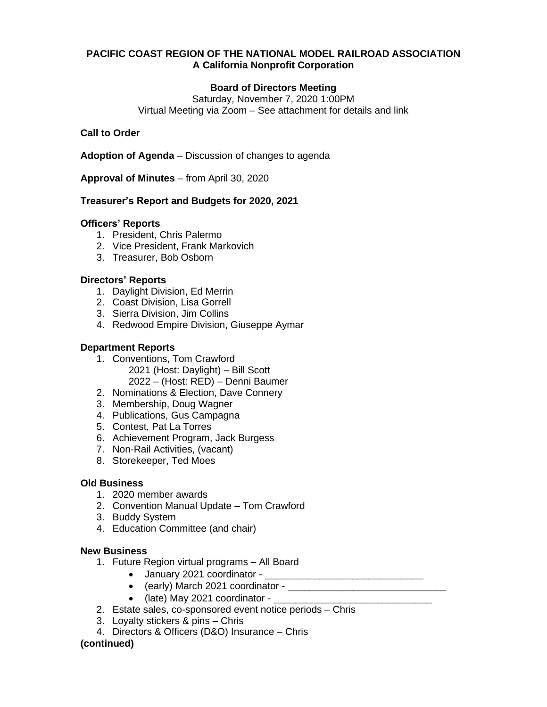# **PACIFIC COAST REGION OF THE NATIONAL MODEL RAILROAD ASSOCIATION A California Nonprofit Corporation**

# **Board of Directors Meeting**

Saturday, November 7, 2020 1:00PM Virtual Meeting via Zoom – See attachment for details and link

### **Call to Order**

**Adoption of Agenda** – Discussion of changes to agenda

**Approval of Minutes** – from April 30, 2020

# **Treasurer's Report and Budgets for 2020, 2021**

### **Officers' Reports**

- 1. President, Chris Palermo
- 2. Vice President, Frank Markovich
- 3. Treasurer, Bob Osborn

### **Directors' Reports**

- 1. Daylight Division, Ed Merrin
- 2. Coast Division, Lisa Gorrell
- 3. Sierra Division, Jim Collins
- 4. Redwood Empire Division, Giuseppe Aymar

### **Department Reports**

- 1. Conventions, Tom Crawford 2021 (Host: Daylight) – Bill Scott 2022 – (Host: RED) – Denni Baumer
- 2. Nominations & Election, Dave Connery
- 3. Membership, Doug Wagner
- 4. Publications, Gus Campagna
- 5. Contest, Pat La Torres
- 6. Achievement Program, Jack Burgess
- 7. Non-Rail Activities, (vacant)
- 8. Storekeeper, Ted Moes

### **Old Business**

- 1. 2020 member awards
- 2. Convention Manual Update Tom Crawford
- 3. Buddy System
- 4. Education Committee (and chair)

### **New Business**

- 1. Future Region virtual programs All Board
	- January 2021 coordinator \_\_\_
	- (early) March 2021 coordinator \_\_\_\_\_\_\_\_\_\_\_\_\_\_\_\_\_\_\_\_\_\_\_\_\_\_\_\_\_
	- (late) May 2021 coordinator -
- 2. Estate sales, co-sponsored event notice periods Chris
- 3. Loyalty stickers & pins Chris
- 4. Directors & Officers (D&O) Insurance Chris

# **(continued)**